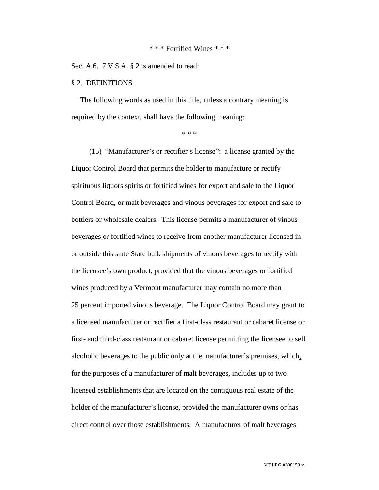#### \* \* \* Fortified Wines \* \* \*

Sec. A.6. 7 V.S.A. § 2 is amended to read:

#### § 2. DEFINITIONS

The following words as used in this title, unless a contrary meaning is required by the context, shall have the following meaning:

\* \* \*

(15) "Manufacturer's or rectifier's license": a license granted by the Liquor Control Board that permits the holder to manufacture or rectify spirituous liquors spirits or fortified wines for export and sale to the Liquor Control Board, or malt beverages and vinous beverages for export and sale to bottlers or wholesale dealers. This license permits a manufacturer of vinous beverages or fortified wines to receive from another manufacturer licensed in or outside this state State bulk shipments of vinous beverages to rectify with the licensee's own product, provided that the vinous beverages or fortified wines produced by a Vermont manufacturer may contain no more than 25 percent imported vinous beverage. The Liquor Control Board may grant to a licensed manufacturer or rectifier a first-class restaurant or cabaret license or first- and third-class restaurant or cabaret license permitting the licensee to sell alcoholic beverages to the public only at the manufacturer's premises, which, for the purposes of a manufacturer of malt beverages, includes up to two licensed establishments that are located on the contiguous real estate of the holder of the manufacturer's license, provided the manufacturer owns or has direct control over those establishments. A manufacturer of malt beverages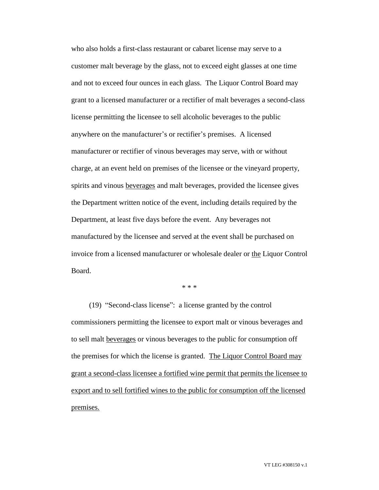who also holds a first-class restaurant or cabaret license may serve to a customer malt beverage by the glass, not to exceed eight glasses at one time and not to exceed four ounces in each glass. The Liquor Control Board may grant to a licensed manufacturer or a rectifier of malt beverages a second-class license permitting the licensee to sell alcoholic beverages to the public anywhere on the manufacturer's or rectifier's premises. A licensed manufacturer or rectifier of vinous beverages may serve, with or without charge, at an event held on premises of the licensee or the vineyard property, spirits and vinous beverages and malt beverages, provided the licensee gives the Department written notice of the event, including details required by the Department, at least five days before the event. Any beverages not manufactured by the licensee and served at the event shall be purchased on invoice from a licensed manufacturer or wholesale dealer or the Liquor Control Board.

\* \* \*

(19) "Second-class license": a license granted by the control commissioners permitting the licensee to export malt or vinous beverages and to sell malt beverages or vinous beverages to the public for consumption off the premises for which the license is granted. The Liquor Control Board may grant a second-class licensee a fortified wine permit that permits the licensee to export and to sell fortified wines to the public for consumption off the licensed premises.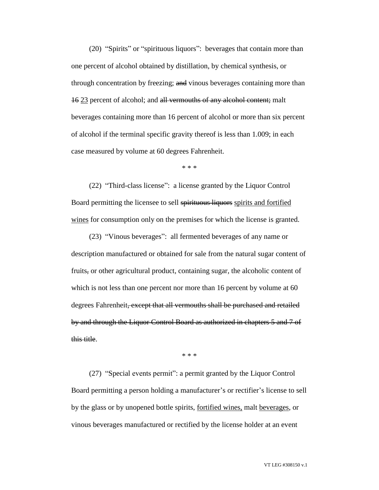(20) "Spirits" or "spirituous liquors": beverages that contain more than one percent of alcohol obtained by distillation, by chemical synthesis, or through concentration by freezing; and vinous beverages containing more than 16 23 percent of alcohol; and all vermouths of any alcohol content; malt beverages containing more than 16 percent of alcohol or more than six percent of alcohol if the terminal specific gravity thereof is less than 1.009; in each case measured by volume at 60 degrees Fahrenheit.

\* \* \*

(22) "Third-class license": a license granted by the Liquor Control Board permitting the licensee to sell spirituous liquors spirits and fortified wines for consumption only on the premises for which the license is granted.

(23) "Vinous beverages": all fermented beverages of any name or description manufactured or obtained for sale from the natural sugar content of fruits, or other agricultural product, containing sugar, the alcoholic content of which is not less than one percent nor more than 16 percent by volume at 60 degrees Fahrenheit, except that all vermouths shall be purchased and retailed by and through the Liquor Control Board as authorized in chapters 5 and 7 of this title.

\* \* \*

(27) "Special events permit": a permit granted by the Liquor Control Board permitting a person holding a manufacturer's or rectifier's license to sell by the glass or by unopened bottle spirits, fortified wines, malt beverages, or vinous beverages manufactured or rectified by the license holder at an event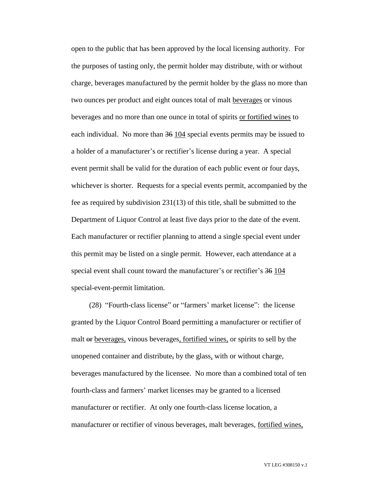open to the public that has been approved by the local licensing authority. For the purposes of tasting only, the permit holder may distribute, with or without charge, beverages manufactured by the permit holder by the glass no more than two ounces per product and eight ounces total of malt beverages or vinous beverages and no more than one ounce in total of spirits or fortified wines to each individual. No more than 36 104 special events permits may be issued to a holder of a manufacturer's or rectifier's license during a year. A special event permit shall be valid for the duration of each public event or four days, whichever is shorter. Requests for a special events permit, accompanied by the fee as required by subdivision 231(13) of this title, shall be submitted to the Department of Liquor Control at least five days prior to the date of the event. Each manufacturer or rectifier planning to attend a single special event under this permit may be listed on a single permit. However, each attendance at a special event shall count toward the manufacturer's or rectifier's 36 104 special-event-permit limitation.

(28) "Fourth-class license" or "farmers' market license": the license granted by the Liquor Control Board permitting a manufacturer or rectifier of malt or beverages, vinous beverages, fortified wines, or spirits to sell by the unopened container and distribute, by the glass, with or without charge, beverages manufactured by the licensee. No more than a combined total of ten fourth-class and farmers' market licenses may be granted to a licensed manufacturer or rectifier. At only one fourth-class license location, a manufacturer or rectifier of vinous beverages, malt beverages, fortified wines,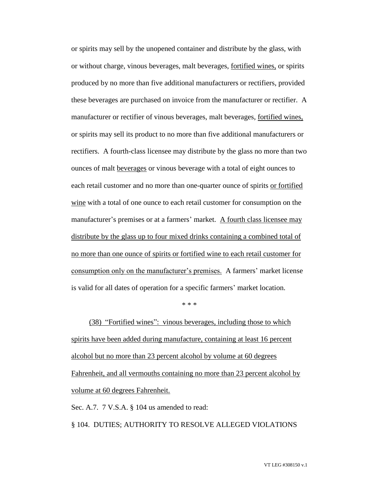or spirits may sell by the unopened container and distribute by the glass, with or without charge, vinous beverages, malt beverages, fortified wines, or spirits produced by no more than five additional manufacturers or rectifiers, provided these beverages are purchased on invoice from the manufacturer or rectifier. A manufacturer or rectifier of vinous beverages, malt beverages, fortified wines, or spirits may sell its product to no more than five additional manufacturers or rectifiers. A fourth-class licensee may distribute by the glass no more than two ounces of malt beverages or vinous beverage with a total of eight ounces to each retail customer and no more than one-quarter ounce of spirits or fortified wine with a total of one ounce to each retail customer for consumption on the manufacturer's premises or at a farmers' market. A fourth class licensee may distribute by the glass up to four mixed drinks containing a combined total of no more than one ounce of spirits or fortified wine to each retail customer for consumption only on the manufacturer's premises. A farmers' market license is valid for all dates of operation for a specific farmers' market location.

\* \* \*

(38) "Fortified wines": vinous beverages, including those to which spirits have been added during manufacture, containing at least 16 percent alcohol but no more than 23 percent alcohol by volume at 60 degrees Fahrenheit, and all vermouths containing no more than 23 percent alcohol by volume at 60 degrees Fahrenheit.

Sec. A.7. 7 V.S.A. § 104 us amended to read:

§ 104. DUTIES; AUTHORITY TO RESOLVE ALLEGED VIOLATIONS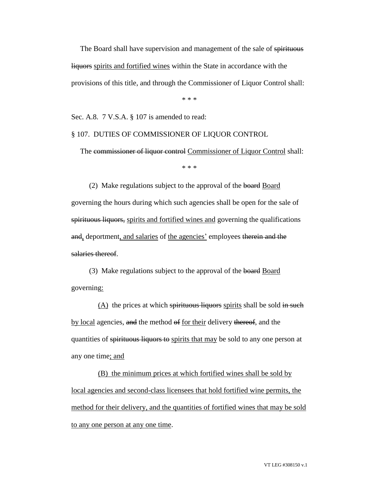The Board shall have supervision and management of the sale of spirituous liquors spirits and fortified wines within the State in accordance with the provisions of this title, and through the Commissioner of Liquor Control shall:

\* \* \*

Sec. A.8. 7 V.S.A. § 107 is amended to read:

## § 107. DUTIES OF COMMISSIONER OF LIQUOR CONTROL

The commissioner of liquor control Commissioner of Liquor Control shall:

\* \* \*

(2) Make regulations subject to the approval of the board Board governing the hours during which such agencies shall be open for the sale of spirituous liquors, spirits and fortified wines and governing the qualifications and, deportment, and salaries of the agencies' employees therein and the salaries thereof.

(3) Make regulations subject to the approval of the board Board governing:

(A) the prices at which spirituous liquors spirits shall be sold in such by local agencies, and the method of for their delivery thereof, and the quantities of spirituous liquors to spirits that may be sold to any one person at any one time; and

(B) the minimum prices at which fortified wines shall be sold by local agencies and second-class licensees that hold fortified wine permits, the method for their delivery, and the quantities of fortified wines that may be sold to any one person at any one time.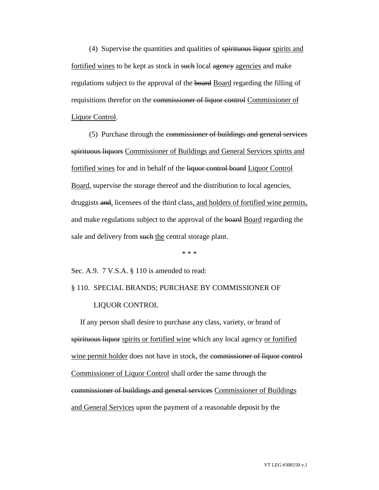(4) Supervise the quantities and qualities of spirituous liquor spirits and fortified wines to be kept as stock in such local agency agencies and make regulations subject to the approval of the board Board regarding the filling of requisitions therefor on the commissioner of liquor control Commissioner of Liquor Control.

(5) Purchase through the commissioner of buildings and general services spirituous liquors Commissioner of Buildings and General Services spirits and fortified wines for and in behalf of the liquor control board Liquor Control Board, supervise the storage thereof and the distribution to local agencies, druggists and, licensees of the third class, and holders of fortified wine permits, and make regulations subject to the approval of the board Board regarding the sale and delivery from such the central storage plant.

\* \* \*

Sec. A.9. 7 V.S.A. § 110 is amended to read:

# § 110. SPECIAL BRANDS; PURCHASE BY COMMISSIONER OF LIQUOR CONTROL

If any person shall desire to purchase any class, variety, or brand of spirituous liquor spirits or fortified wine which any local agency or fortified wine permit holder does not have in stock, the commissioner of liquor control Commissioner of Liquor Control shall order the same through the commissioner of buildings and general services Commissioner of Buildings and General Services upon the payment of a reasonable deposit by the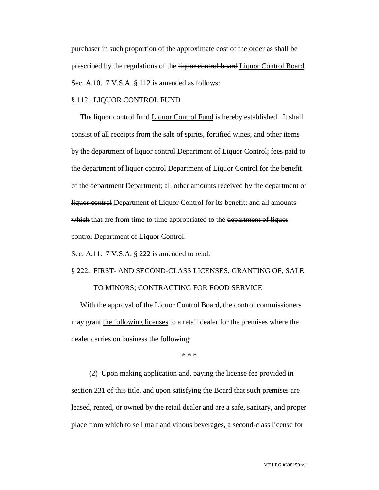purchaser in such proportion of the approximate cost of the order as shall be prescribed by the regulations of the liquor control board Liquor Control Board. Sec. A.10. 7 V.S.A. § 112 is amended as follows:

# § 112. LIQUOR CONTROL FUND

The liquor control fund Liquor Control Fund is hereby established. It shall consist of all receipts from the sale of spirits, fortified wines, and other items by the department of liquor control Department of Liquor Control; fees paid to the department of liquor control Department of Liquor Control for the benefit of the department Department; all other amounts received by the department of liquor control Department of Liquor Control for its benefit; and all amounts which that are from time to time appropriated to the department of liquor control Department of Liquor Control.

Sec. A.11. 7 V.S.A. § 222 is amended to read:

§ 222. FIRST- AND SECOND-CLASS LICENSES, GRANTING OF; SALE

# TO MINORS; CONTRACTING FOR FOOD SERVICE

With the approval of the Liquor Control Board, the control commissioners may grant the following licenses to a retail dealer for the premises where the dealer carries on business the following:

\* \* \*

(2) Upon making application and, paying the license fee provided in section 231 of this title, and upon satisfying the Board that such premises are leased, rented, or owned by the retail dealer and are a safe, sanitary, and proper place from which to sell malt and vinous beverages, a second-class license for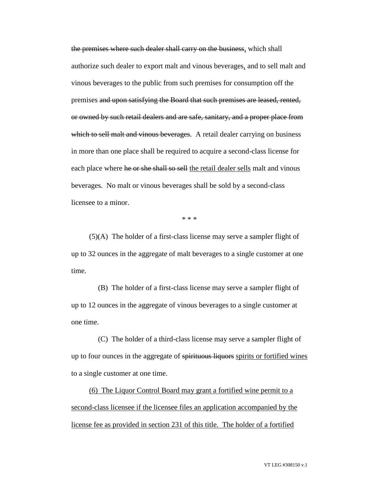the premises where such dealer shall carry on the business, which shall authorize such dealer to export malt and vinous beverages, and to sell malt and vinous beverages to the public from such premises for consumption off the premises and upon satisfying the Board that such premises are leased, rented, or owned by such retail dealers and are safe, sanitary, and a proper place from which to sell malt and vinous beverages. A retail dealer carrying on business in more than one place shall be required to acquire a second-class license for each place where he or she shall so sell the retail dealer sells malt and vinous beverages. No malt or vinous beverages shall be sold by a second-class licensee to a minor.

\* \* \*

(5)(A) The holder of a first-class license may serve a sampler flight of up to 32 ounces in the aggregate of malt beverages to a single customer at one time.

(B) The holder of a first-class license may serve a sampler flight of up to 12 ounces in the aggregate of vinous beverages to a single customer at one time.

(C) The holder of a third-class license may serve a sampler flight of up to four ounces in the aggregate of spirituous liquors spirits or fortified wines to a single customer at one time.

(6) The Liquor Control Board may grant a fortified wine permit to a second-class licensee if the licensee files an application accompanied by the license fee as provided in section 231 of this title. The holder of a fortified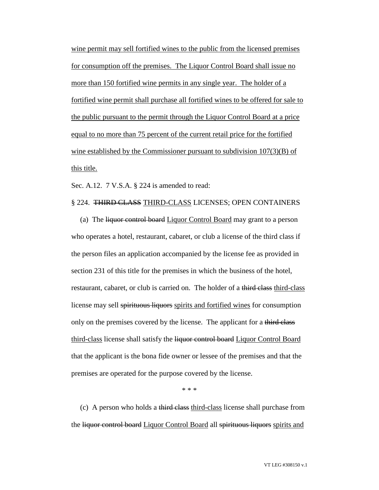wine permit may sell fortified wines to the public from the licensed premises for consumption off the premises. The Liquor Control Board shall issue no more than 150 fortified wine permits in any single year. The holder of a fortified wine permit shall purchase all fortified wines to be offered for sale to the public pursuant to the permit through the Liquor Control Board at a price equal to no more than 75 percent of the current retail price for the fortified wine established by the Commissioner pursuant to subdivision 107(3)(B) of this title.

Sec. A.12. 7 V.S.A. § 224 is amended to read:

# § 224. THIRD CLASS THIRD-CLASS LICENSES; OPEN CONTAINERS

(a) The liquor control board Liquor Control Board may grant to a person who operates a hotel, restaurant, cabaret, or club a license of the third class if the person files an application accompanied by the license fee as provided in section 231 of this title for the premises in which the business of the hotel, restaurant, cabaret, or club is carried on. The holder of a third class third-class license may sell spirituous liquors spirits and fortified wines for consumption only on the premises covered by the license. The applicant for a third class third-class license shall satisfy the liquor control board Liquor Control Board that the applicant is the bona fide owner or lessee of the premises and that the premises are operated for the purpose covered by the license.

\* \* \*

(c) A person who holds a third class third-class license shall purchase from the liquor control board Liquor Control Board all spirituous liquors spirits and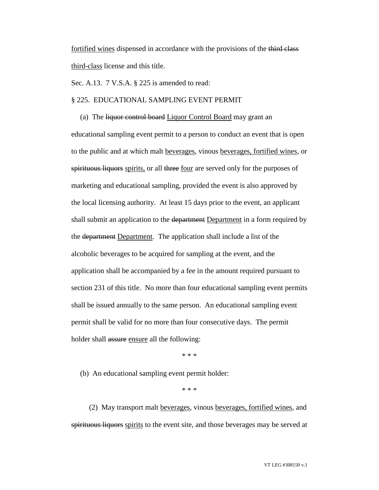fortified wines dispensed in accordance with the provisions of the third class third-class license and this title.

Sec. A.13. 7 V.S.A. § 225 is amended to read:

# § 225. EDUCATIONAL SAMPLING EVENT PERMIT

(a) The liquor control board Liquor Control Board may grant an educational sampling event permit to a person to conduct an event that is open to the public and at which malt beverages, vinous beverages, fortified wines, or spirituous liquors spirits, or all three <u>four</u> are served only for the purposes of marketing and educational sampling, provided the event is also approved by the local licensing authority. At least 15 days prior to the event, an applicant shall submit an application to the department Department in a form required by the department Department. The application shall include a list of the alcoholic beverages to be acquired for sampling at the event, and the application shall be accompanied by a fee in the amount required pursuant to section 231 of this title. No more than four educational sampling event permits shall be issued annually to the same person. An educational sampling event permit shall be valid for no more than four consecutive days. The permit holder shall assure ensure all the following:

\* \* \*

(b) An educational sampling event permit holder:

\* \* \*

(2) May transport malt beverages, vinous beverages, fortified wines, and spirituous liquors spirits to the event site, and those beverages may be served at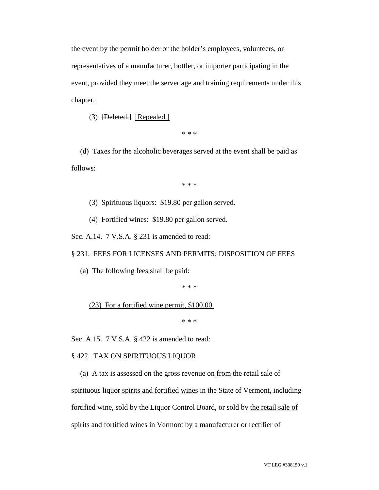the event by the permit holder or the holder's employees, volunteers, or representatives of a manufacturer, bottler, or importer participating in the event, provided they meet the server age and training requirements under this chapter.

(3) [Deleted.] [Repealed.]

\* \* \*

(d) Taxes for the alcoholic beverages served at the event shall be paid as follows:

\* \* \*

(3) Spirituous liquors: \$19.80 per gallon served.

(4) Fortified wines: \$19.80 per gallon served.

Sec. A.14. 7 V.S.A. § 231 is amended to read:

#### § 231. FEES FOR LICENSES AND PERMITS; DISPOSITION OF FEES

(a) The following fees shall be paid:

\* \* \*

## (23) For a fortified wine permit, \$100.00.

\* \* \*

Sec. A.15. 7 V.S.A. § 422 is amended to read:

#### § 422. TAX ON SPIRITUOUS LIQUOR

(a) A tax is assessed on the gross revenue on from the retail sale of

spirituous liquor spirits and fortified wines in the State of Vermont, including fortified wine, sold by the Liquor Control Board, or sold by the retail sale of spirits and fortified wines in Vermont by a manufacturer or rectifier of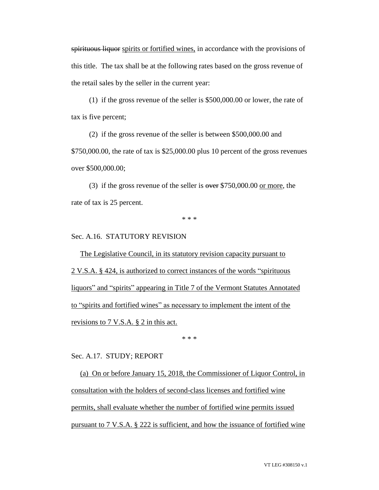spirituous liquor spirits or fortified wines, in accordance with the provisions of this title. The tax shall be at the following rates based on the gross revenue of the retail sales by the seller in the current year:

(1) if the gross revenue of the seller is \$500,000.00 or lower, the rate of tax is five percent;

(2) if the gross revenue of the seller is between \$500,000.00 and \$750,000.00, the rate of tax is \$25,000.00 plus 10 percent of the gross revenues over \$500,000.00;

(3) if the gross revenue of the seller is  $\frac{\text{over }\$750,000.00 \text{ or more}}{\text{over}}$ , the rate of tax is 25 percent.

\* \* \*

# Sec. A.16. STATUTORY REVISION

The Legislative Council, in its statutory revision capacity pursuant to 2 V.S.A. § 424, is authorized to correct instances of the words "spirituous liquors" and "spirits" appearing in Title 7 of the Vermont Statutes Annotated to "spirits and fortified wines" as necessary to implement the intent of the revisions to 7 V.S.A. § 2 in this act.

\* \* \*

## Sec. A.17. STUDY; REPORT

(a) On or before January 15, 2018, the Commissioner of Liquor Control, in consultation with the holders of second-class licenses and fortified wine permits, shall evaluate whether the number of fortified wine permits issued pursuant to 7 V.S.A. § 222 is sufficient, and how the issuance of fortified wine